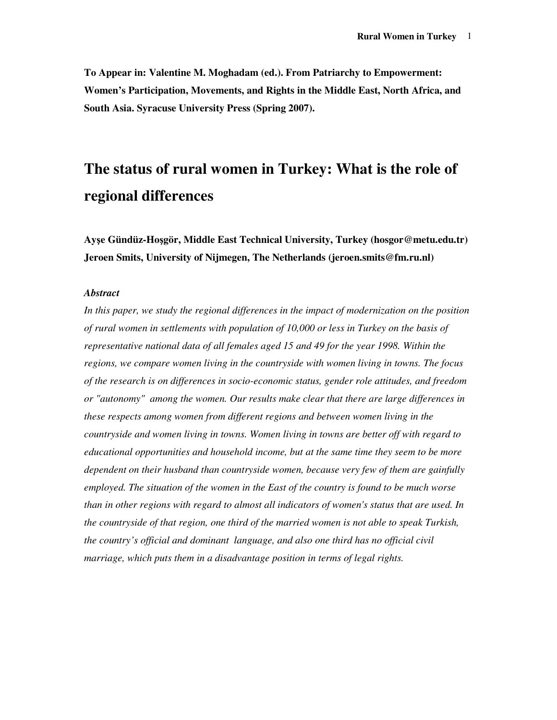**To Appear in: Valentine M. Moghadam (ed.). From Patriarchy to Empowerment: Women's Participation, Movements, and Rights in the Middle East, North Africa, and South Asia. Syracuse University Press (Spring 2007).** 

# **The status of rural women in Turkey: What is the role of regional differences**

**Ay**ş**e Gündüz-Ho**ş**gör, Middle East Technical University, Turkey (hosgor@metu.edu.tr) Jeroen Smits, University of Nijmegen, The Netherlands (jeroen.smits@fm.ru.nl)** 

#### *Abstract*

*In this paper, we study the regional differences in the impact of modernization on the position of rural women in settlements with population of 10,000 or less in Turkey on the basis of representative national data of all females aged 15 and 49 for the year 1998. Within the regions, we compare women living in the countryside with women living in towns. The focus of the research is on differences in socio-economic status, gender role attitudes, and freedom or "autonomy" among the women. Our results make clear that there are large differences in these respects among women from different regions and between women living in the countryside and women living in towns. Women living in towns are better off with regard to educational opportunities and household income, but at the same time they seem to be more dependent on their husband than countryside women, because very few of them are gainfully employed. The situation of the women in the East of the country is found to be much worse than in other regions with regard to almost all indicators of women's status that are used. In the countryside of that region, one third of the married women is not able to speak Turkish, the country's official and dominant language, and also one third has no official civil marriage, which puts them in a disadvantage position in terms of legal rights.*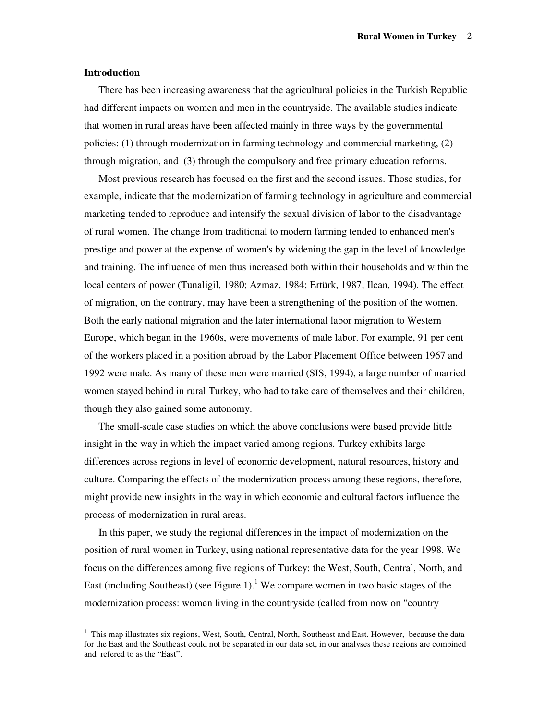#### **Introduction**

1

There has been increasing awareness that the agricultural policies in the Turkish Republic had different impacts on women and men in the countryside. The available studies indicate that women in rural areas have been affected mainly in three ways by the governmental policies: (1) through modernization in farming technology and commercial marketing, (2) through migration, and (3) through the compulsory and free primary education reforms.

Most previous research has focused on the first and the second issues. Those studies, for example, indicate that the modernization of farming technology in agriculture and commercial marketing tended to reproduce and intensify the sexual division of labor to the disadvantage of rural women. The change from traditional to modern farming tended to enhanced men's prestige and power at the expense of women's by widening the gap in the level of knowledge and training. The influence of men thus increased both within their households and within the local centers of power (Tunaligil, 1980; Azmaz, 1984; Ertürk, 1987; Ilcan, 1994). The effect of migration, on the contrary, may have been a strengthening of the position of the women. Both the early national migration and the later international labor migration to Western Europe, which began in the 1960s, were movements of male labor. For example, 91 per cent of the workers placed in a position abroad by the Labor Placement Office between 1967 and 1992 were male. As many of these men were married (SIS, 1994), a large number of married women stayed behind in rural Turkey, who had to take care of themselves and their children, though they also gained some autonomy.

The small-scale case studies on which the above conclusions were based provide little insight in the way in which the impact varied among regions. Turkey exhibits large differences across regions in level of economic development, natural resources, history and culture. Comparing the effects of the modernization process among these regions, therefore, might provide new insights in the way in which economic and cultural factors influence the process of modernization in rural areas.

In this paper, we study the regional differences in the impact of modernization on the position of rural women in Turkey, using national representative data for the year 1998. We focus on the differences among five regions of Turkey: the West, South, Central, North, and East (including Southeast) (see Figure 1).<sup>1</sup> We compare women in two basic stages of the modernization process: women living in the countryside (called from now on "country

<sup>&</sup>lt;sup>1</sup> This map illustrates six regions, West, South, Central, North, Southeast and East. However, because the data for the East and the Southeast could not be separated in our data set, in our analyses these regions are combined and refered to as the "East".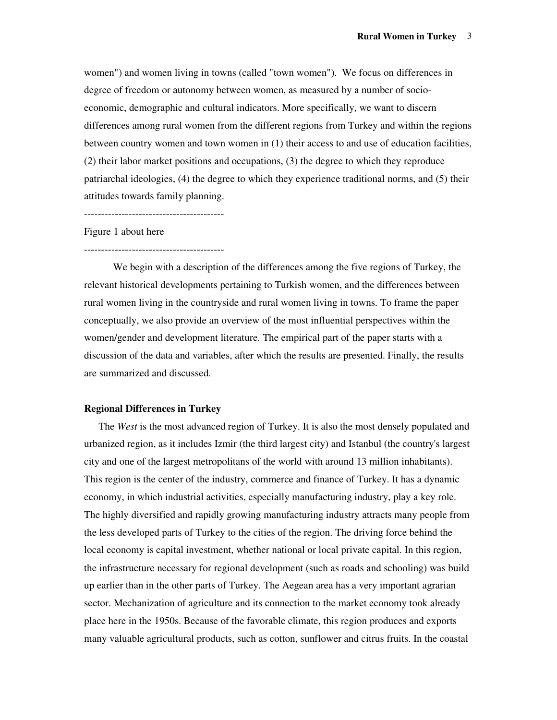women") and women living in towns (called "town women"). We focus on differences in degree of freedom or autonomy between women, as measured by a number of socioeconomic, demographic and cultural indicators. More specifically, we want to discern differences among rural women from the different regions from Turkey and within the regions between country women and town women in (1) their access to and use of education facilities, (2) their labor market positions and occupations, (3) the degree to which they reproduce patriarchal ideologies, (4) the degree to which they experience traditional norms, and (5) their attitudes towards family planning.

-----------------------------------------

-----------------------------------------

#### Figure 1 about here

 We begin with a description of the differences among the five regions of Turkey, the relevant historical developments pertaining to Turkish women, and the differences between rural women living in the countryside and rural women living in towns. To frame the paper conceptually, we also provide an overview of the most influential perspectives within the women/gender and development literature. The empirical part of the paper starts with a discussion of the data and variables, after which the results are presented. Finally, the results are summarized and discussed.

# **Regional Differences in Turkey**

The *West* is the most advanced region of Turkey. It is also the most densely populated and urbanized region, as it includes Izmir (the third largest city) and Istanbul (the country's largest city and one of the largest metropolitans of the world with around 13 million inhabitants). This region is the center of the industry, commerce and finance of Turkey. It has a dynamic economy, in which industrial activities, especially manufacturing industry, play a key role. The highly diversified and rapidly growing manufacturing industry attracts many people from the less developed parts of Turkey to the cities of the region. The driving force behind the local economy is capital investment, whether national or local private capital. In this region, the infrastructure necessary for regional development (such as roads and schooling) was build up earlier than in the other parts of Turkey. The Aegean area has a very important agrarian sector. Mechanization of agriculture and its connection to the market economy took already place here in the 1950s. Because of the favorable climate, this region produces and exports many valuable agricultural products, such as cotton, sunflower and citrus fruits. In the coastal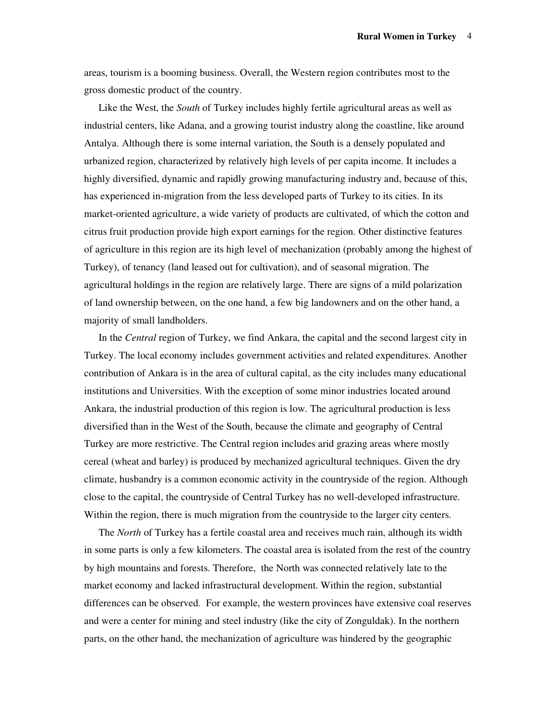areas, tourism is a booming business. Overall, the Western region contributes most to the gross domestic product of the country.

Like the West, the *South* of Turkey includes highly fertile agricultural areas as well as industrial centers, like Adana, and a growing tourist industry along the coastline, like around Antalya. Although there is some internal variation, the South is a densely populated and urbanized region, characterized by relatively high levels of per capita income. It includes a highly diversified, dynamic and rapidly growing manufacturing industry and, because of this, has experienced in-migration from the less developed parts of Turkey to its cities. In its market-oriented agriculture, a wide variety of products are cultivated, of which the cotton and citrus fruit production provide high export earnings for the region. Other distinctive features of agriculture in this region are its high level of mechanization (probably among the highest of Turkey), of tenancy (land leased out for cultivation), and of seasonal migration. The agricultural holdings in the region are relatively large. There are signs of a mild polarization of land ownership between, on the one hand, a few big landowners and on the other hand, a majority of small landholders.

In the *Central* region of Turkey, we find Ankara, the capital and the second largest city in Turkey. The local economy includes government activities and related expenditures. Another contribution of Ankara is in the area of cultural capital, as the city includes many educational institutions and Universities. With the exception of some minor industries located around Ankara, the industrial production of this region is low. The agricultural production is less diversified than in the West of the South, because the climate and geography of Central Turkey are more restrictive. The Central region includes arid grazing areas where mostly cereal (wheat and barley) is produced by mechanized agricultural techniques. Given the dry climate, husbandry is a common economic activity in the countryside of the region. Although close to the capital, the countryside of Central Turkey has no well-developed infrastructure. Within the region, there is much migration from the countryside to the larger city centers.

The *North* of Turkey has a fertile coastal area and receives much rain, although its width in some parts is only a few kilometers. The coastal area is isolated from the rest of the country by high mountains and forests. Therefore, the North was connected relatively late to the market economy and lacked infrastructural development. Within the region, substantial differences can be observed. For example, the western provinces have extensive coal reserves and were a center for mining and steel industry (like the city of Zonguldak). In the northern parts, on the other hand, the mechanization of agriculture was hindered by the geographic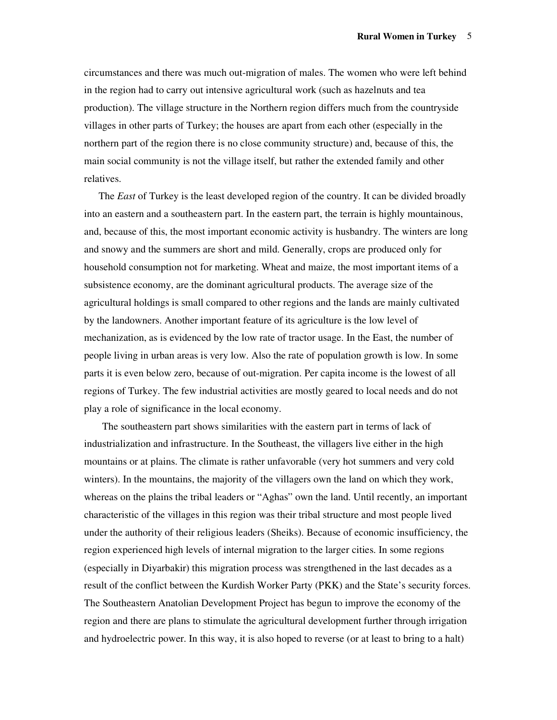circumstances and there was much out-migration of males. The women who were left behind in the region had to carry out intensive agricultural work (such as hazelnuts and tea production). The village structure in the Northern region differs much from the countryside villages in other parts of Turkey; the houses are apart from each other (especially in the northern part of the region there is no close community structure) and, because of this, the main social community is not the village itself, but rather the extended family and other relatives.

The *East* of Turkey is the least developed region of the country. It can be divided broadly into an eastern and a southeastern part. In the eastern part, the terrain is highly mountainous, and, because of this, the most important economic activity is husbandry. The winters are long and snowy and the summers are short and mild. Generally, crops are produced only for household consumption not for marketing. Wheat and maize, the most important items of a subsistence economy, are the dominant agricultural products. The average size of the agricultural holdings is small compared to other regions and the lands are mainly cultivated by the landowners. Another important feature of its agriculture is the low level of mechanization, as is evidenced by the low rate of tractor usage. In the East, the number of people living in urban areas is very low. Also the rate of population growth is low. In some parts it is even below zero, because of out-migration. Per capita income is the lowest of all regions of Turkey. The few industrial activities are mostly geared to local needs and do not play a role of significance in the local economy.

 The southeastern part shows similarities with the eastern part in terms of lack of industrialization and infrastructure. In the Southeast, the villagers live either in the high mountains or at plains. The climate is rather unfavorable (very hot summers and very cold winters). In the mountains, the majority of the villagers own the land on which they work, whereas on the plains the tribal leaders or "Aghas" own the land. Until recently, an important characteristic of the villages in this region was their tribal structure and most people lived under the authority of their religious leaders (Sheiks). Because of economic insufficiency, the region experienced high levels of internal migration to the larger cities. In some regions (especially in Diyarbakir) this migration process was strengthened in the last decades as a result of the conflict between the Kurdish Worker Party (PKK) and the State's security forces. The Southeastern Anatolian Development Project has begun to improve the economy of the region and there are plans to stimulate the agricultural development further through irrigation and hydroelectric power. In this way, it is also hoped to reverse (or at least to bring to a halt)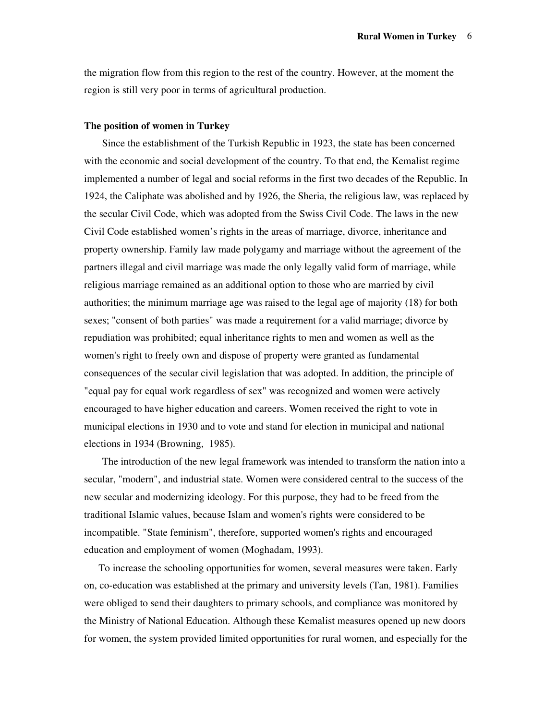the migration flow from this region to the rest of the country. However, at the moment the region is still very poor in terms of agricultural production.

# **The position of women in Turkey**

 Since the establishment of the Turkish Republic in 1923, the state has been concerned with the economic and social development of the country. To that end, the Kemalist regime implemented a number of legal and social reforms in the first two decades of the Republic. In 1924, the Caliphate was abolished and by 1926, the Sheria, the religious law, was replaced by the secular Civil Code, which was adopted from the Swiss Civil Code. The laws in the new Civil Code established women's rights in the areas of marriage, divorce, inheritance and property ownership. Family law made polygamy and marriage without the agreement of the partners illegal and civil marriage was made the only legally valid form of marriage, while religious marriage remained as an additional option to those who are married by civil authorities; the minimum marriage age was raised to the legal age of majority (18) for both sexes; "consent of both parties" was made a requirement for a valid marriage; divorce by repudiation was prohibited; equal inheritance rights to men and women as well as the women's right to freely own and dispose of property were granted as fundamental consequences of the secular civil legislation that was adopted. In addition, the principle of "equal pay for equal work regardless of sex" was recognized and women were actively encouraged to have higher education and careers. Women received the right to vote in municipal elections in 1930 and to vote and stand for election in municipal and national elections in 1934 (Browning, 1985).

 The introduction of the new legal framework was intended to transform the nation into a secular, "modern", and industrial state. Women were considered central to the success of the new secular and modernizing ideology. For this purpose, they had to be freed from the traditional Islamic values, because Islam and women's rights were considered to be incompatible. "State feminism", therefore, supported women's rights and encouraged education and employment of women (Moghadam, 1993).

To increase the schooling opportunities for women, several measures were taken. Early on, co-education was established at the primary and university levels (Tan, 1981). Families were obliged to send their daughters to primary schools, and compliance was monitored by the Ministry of National Education. Although these Kemalist measures opened up new doors for women, the system provided limited opportunities for rural women, and especially for the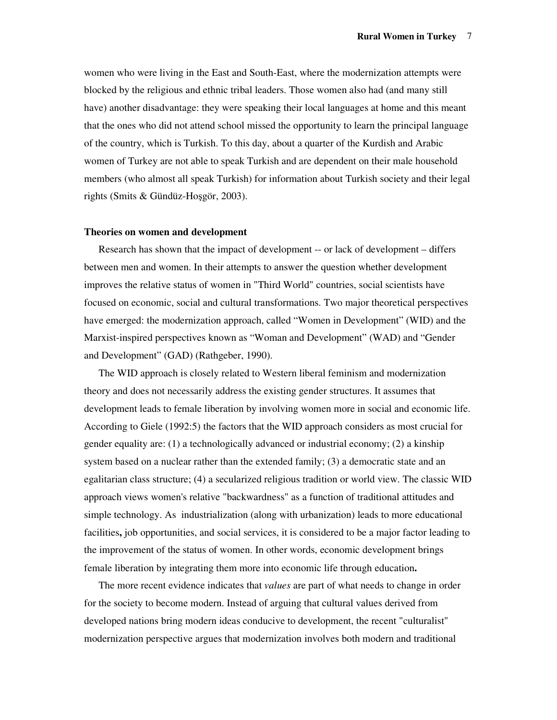women who were living in the East and South-East, where the modernization attempts were blocked by the religious and ethnic tribal leaders. Those women also had (and many still have) another disadvantage: they were speaking their local languages at home and this meant that the ones who did not attend school missed the opportunity to learn the principal language of the country, which is Turkish. To this day, about a quarter of the Kurdish and Arabic women of Turkey are not able to speak Turkish and are dependent on their male household members (who almost all speak Turkish) for information about Turkish society and their legal rights (Smits & Gündüz-Hoşgör, 2003).

#### **Theories on women and development**

Research has shown that the impact of development -- or lack of development – differs between men and women. In their attempts to answer the question whether development improves the relative status of women in "Third World" countries, social scientists have focused on economic, social and cultural transformations. Two major theoretical perspectives have emerged: the modernization approach, called "Women in Development" (WID) and the Marxist-inspired perspectives known as "Woman and Development" (WAD) and "Gender and Development" (GAD) (Rathgeber, 1990).

The WID approach is closely related to Western liberal feminism and modernization theory and does not necessarily address the existing gender structures. It assumes that development leads to female liberation by involving women more in social and economic life. According to Giele (1992:5) the factors that the WID approach considers as most crucial for gender equality are: (1) a technologically advanced or industrial economy; (2) a kinship system based on a nuclear rather than the extended family; (3) a democratic state and an egalitarian class structure; (4) a secularized religious tradition or world view. The classic WID approach views women's relative "backwardness" as a function of traditional attitudes and simple technology. As industrialization (along with urbanization) leads to more educational facilities**,** job opportunities, and social services, it is considered to be a major factor leading to the improvement of the status of women. In other words, economic development brings female liberation by integrating them more into economic life through education**.** 

The more recent evidence indicates that *values* are part of what needs to change in order for the society to become modern. Instead of arguing that cultural values derived from developed nations bring modern ideas conducive to development, the recent "culturalist" modernization perspective argues that modernization involves both modern and traditional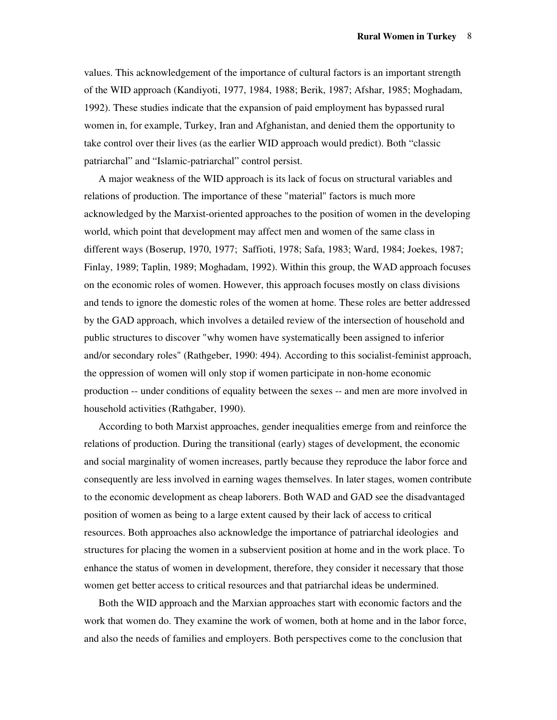values. This acknowledgement of the importance of cultural factors is an important strength of the WID approach (Kandiyoti, 1977, 1984, 1988; Berik, 1987; Afshar, 1985; Moghadam, 1992). These studies indicate that the expansion of paid employment has bypassed rural women in, for example, Turkey, Iran and Afghanistan, and denied them the opportunity to take control over their lives (as the earlier WID approach would predict). Both "classic patriarchal" and "Islamic-patriarchal" control persist.

A major weakness of the WID approach is its lack of focus on structural variables and relations of production. The importance of these "material" factors is much more acknowledged by the Marxist-oriented approaches to the position of women in the developing world, which point that development may affect men and women of the same class in different ways (Boserup, 1970, 1977; Saffioti, 1978; Safa, 1983; Ward, 1984; Joekes, 1987; Finlay, 1989; Taplin, 1989; Moghadam, 1992). Within this group, the WAD approach focuses on the economic roles of women. However, this approach focuses mostly on class divisions and tends to ignore the domestic roles of the women at home. These roles are better addressed by the GAD approach, which involves a detailed review of the intersection of household and public structures to discover "why women have systematically been assigned to inferior and/or secondary roles" (Rathgeber, 1990: 494). According to this socialist-feminist approach, the oppression of women will only stop if women participate in non-home economic production -- under conditions of equality between the sexes -- and men are more involved in household activities (Rathgaber, 1990).

According to both Marxist approaches, gender inequalities emerge from and reinforce the relations of production. During the transitional (early) stages of development, the economic and social marginality of women increases, partly because they reproduce the labor force and consequently are less involved in earning wages themselves. In later stages, women contribute to the economic development as cheap laborers. Both WAD and GAD see the disadvantaged position of women as being to a large extent caused by their lack of access to critical resources. Both approaches also acknowledge the importance of patriarchal ideologies and structures for placing the women in a subservient position at home and in the work place. To enhance the status of women in development, therefore, they consider it necessary that those women get better access to critical resources and that patriarchal ideas be undermined.

Both the WID approach and the Marxian approaches start with economic factors and the work that women do. They examine the work of women, both at home and in the labor force, and also the needs of families and employers. Both perspectives come to the conclusion that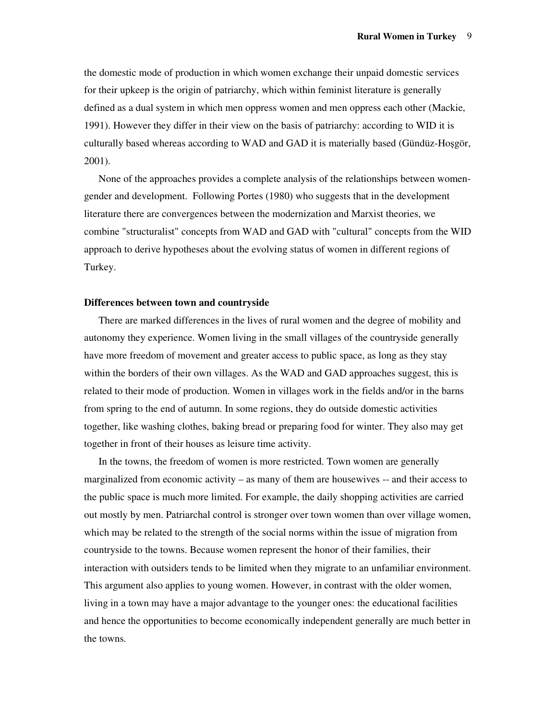the domestic mode of production in which women exchange their unpaid domestic services for their upkeep is the origin of patriarchy, which within feminist literature is generally defined as a dual system in which men oppress women and men oppress each other (Mackie, 1991). However they differ in their view on the basis of patriarchy: according to WID it is culturally based whereas according to WAD and GAD it is materially based (Gündüz-Hoşgör, 2001).

None of the approaches provides a complete analysis of the relationships between womengender and development. Following Portes (1980) who suggests that in the development literature there are convergences between the modernization and Marxist theories, we combine "structuralist" concepts from WAD and GAD with "cultural" concepts from the WID approach to derive hypotheses about the evolving status of women in different regions of Turkey.

#### **Differences between town and countryside**

There are marked differences in the lives of rural women and the degree of mobility and autonomy they experience. Women living in the small villages of the countryside generally have more freedom of movement and greater access to public space, as long as they stay within the borders of their own villages. As the WAD and GAD approaches suggest, this is related to their mode of production. Women in villages work in the fields and/or in the barns from spring to the end of autumn. In some regions, they do outside domestic activities together, like washing clothes, baking bread or preparing food for winter. They also may get together in front of their houses as leisure time activity.

In the towns, the freedom of women is more restricted. Town women are generally marginalized from economic activity – as many of them are housewives -- and their access to the public space is much more limited. For example, the daily shopping activities are carried out mostly by men. Patriarchal control is stronger over town women than over village women, which may be related to the strength of the social norms within the issue of migration from countryside to the towns. Because women represent the honor of their families, their interaction with outsiders tends to be limited when they migrate to an unfamiliar environment. This argument also applies to young women. However, in contrast with the older women, living in a town may have a major advantage to the younger ones: the educational facilities and hence the opportunities to become economically independent generally are much better in the towns.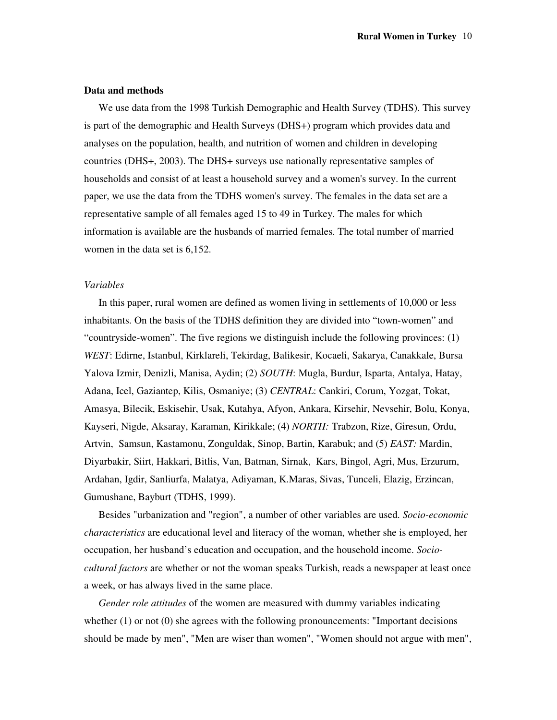#### **Data and methods**

We use data from the 1998 Turkish Demographic and Health Survey (TDHS). This survey is part of the demographic and Health Surveys (DHS+) program which provides data and analyses on the population, health, and nutrition of women and children in developing countries (DHS+, 2003). The DHS+ surveys use nationally representative samples of households and consist of at least a household survey and a women's survey. In the current paper, we use the data from the TDHS women's survey. The females in the data set are a representative sample of all females aged 15 to 49 in Turkey. The males for which information is available are the husbands of married females. The total number of married women in the data set is 6,152.

#### *Variables*

In this paper, rural women are defined as women living in settlements of 10,000 or less inhabitants. On the basis of the TDHS definition they are divided into "town-women" and "countryside-women". The five regions we distinguish include the following provinces: (1) *WEST*: Edirne, Istanbul, Kirklareli, Tekirdag, Balikesir, Kocaeli, Sakarya, Canakkale, Bursa Yalova Izmir, Denizli, Manisa, Aydin; (2) *SOUTH*: Mugla, Burdur, Isparta, Antalya, Hatay, Adana, Icel, Gaziantep, Kilis, Osmaniye; (3) *CENTRAL*: Cankiri, Corum, Yozgat, Tokat, Amasya, Bilecik, Eskisehir, Usak, Kutahya, Afyon, Ankara, Kirsehir, Nevsehir, Bolu, Konya, Kayseri, Nigde, Aksaray, Karaman, Kirikkale; (4) *NORTH:* Trabzon, Rize, Giresun, Ordu, Artvin, Samsun, Kastamonu, Zonguldak, Sinop, Bartin, Karabuk; and (5) *EAST:* Mardin, Diyarbakir, Siirt, Hakkari, Bitlis, Van, Batman, Sirnak, Kars, Bingol, Agri, Mus, Erzurum, Ardahan, Igdir, Sanliurfa, Malatya, Adiyaman, K.Maras, Sivas, Tunceli, Elazig, Erzincan, Gumushane, Bayburt (TDHS, 1999).

Besides "urbanization and "region", a number of other variables are used. *Socio-economic characteristics* are educational level and literacy of the woman, whether she is employed, her occupation, her husband's education and occupation, and the household income. *Sociocultural factors* are whether or not the woman speaks Turkish, reads a newspaper at least once a week, or has always lived in the same place.

*Gender role attitudes* of the women are measured with dummy variables indicating whether  $(1)$  or not  $(0)$  she agrees with the following pronouncements: "Important decisions should be made by men", "Men are wiser than women", "Women should not argue with men",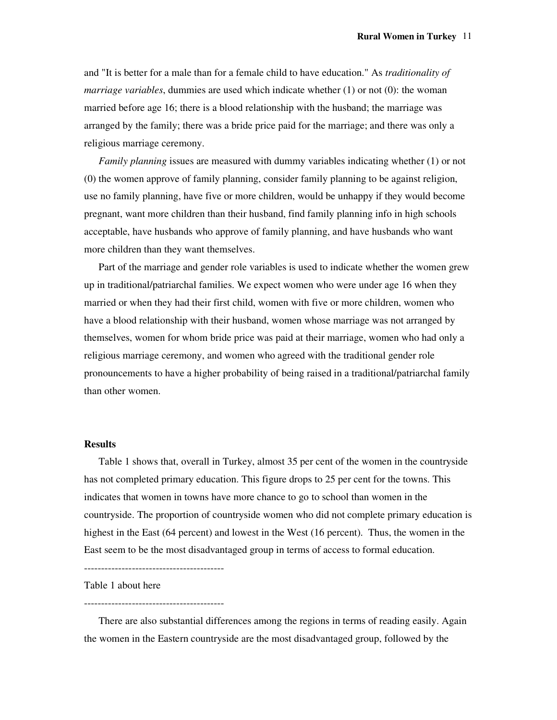and "It is better for a male than for a female child to have education." As *traditionality of marriage variables*, dummies are used which indicate whether (1) or not (0): the woman married before age 16; there is a blood relationship with the husband; the marriage was arranged by the family; there was a bride price paid for the marriage; and there was only a religious marriage ceremony.

*Family planning* issues are measured with dummy variables indicating whether (1) or not (0) the women approve of family planning, consider family planning to be against religion, use no family planning, have five or more children, would be unhappy if they would become pregnant, want more children than their husband, find family planning info in high schools acceptable, have husbands who approve of family planning, and have husbands who want more children than they want themselves.

Part of the marriage and gender role variables is used to indicate whether the women grew up in traditional/patriarchal families. We expect women who were under age 16 when they married or when they had their first child, women with five or more children, women who have a blood relationship with their husband, women whose marriage was not arranged by themselves, women for whom bride price was paid at their marriage, women who had only a religious marriage ceremony, and women who agreed with the traditional gender role pronouncements to have a higher probability of being raised in a traditional/patriarchal family than other women.

#### **Results**

Table 1 shows that, overall in Turkey, almost 35 per cent of the women in the countryside has not completed primary education. This figure drops to 25 per cent for the towns. This indicates that women in towns have more chance to go to school than women in the countryside. The proportion of countryside women who did not complete primary education is highest in the East (64 percent) and lowest in the West (16 percent). Thus, the women in the East seem to be the most disadvantaged group in terms of access to formal education.

-----------------------------------------

# Table 1 about here

# -----------------------------------------

There are also substantial differences among the regions in terms of reading easily. Again the women in the Eastern countryside are the most disadvantaged group, followed by the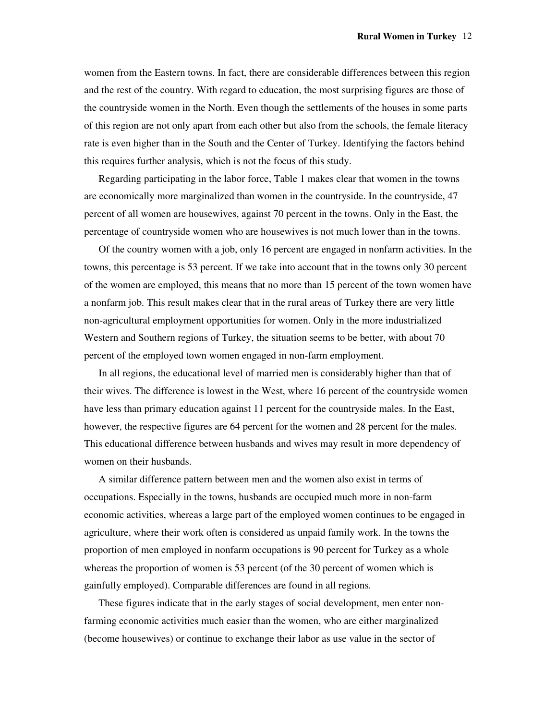women from the Eastern towns. In fact, there are considerable differences between this region and the rest of the country. With regard to education, the most surprising figures are those of the countryside women in the North. Even though the settlements of the houses in some parts of this region are not only apart from each other but also from the schools, the female literacy rate is even higher than in the South and the Center of Turkey. Identifying the factors behind this requires further analysis, which is not the focus of this study.

Regarding participating in the labor force, Table 1 makes clear that women in the towns are economically more marginalized than women in the countryside. In the countryside, 47 percent of all women are housewives, against 70 percent in the towns. Only in the East, the percentage of countryside women who are housewives is not much lower than in the towns.

 Of the country women with a job, only 16 percent are engaged in nonfarm activities. In the towns, this percentage is 53 percent. If we take into account that in the towns only 30 percent of the women are employed, this means that no more than 15 percent of the town women have a nonfarm job. This result makes clear that in the rural areas of Turkey there are very little non-agricultural employment opportunities for women. Only in the more industrialized Western and Southern regions of Turkey, the situation seems to be better, with about 70 percent of the employed town women engaged in non-farm employment.

In all regions, the educational level of married men is considerably higher than that of their wives. The difference is lowest in the West, where 16 percent of the countryside women have less than primary education against 11 percent for the countryside males. In the East, however, the respective figures are 64 percent for the women and 28 percent for the males. This educational difference between husbands and wives may result in more dependency of women on their husbands.

A similar difference pattern between men and the women also exist in terms of occupations. Especially in the towns, husbands are occupied much more in non-farm economic activities, whereas a large part of the employed women continues to be engaged in agriculture, where their work often is considered as unpaid family work. In the towns the proportion of men employed in nonfarm occupations is 90 percent for Turkey as a whole whereas the proportion of women is 53 percent (of the 30 percent of women which is gainfully employed). Comparable differences are found in all regions.

These figures indicate that in the early stages of social development, men enter nonfarming economic activities much easier than the women, who are either marginalized (become housewives) or continue to exchange their labor as use value in the sector of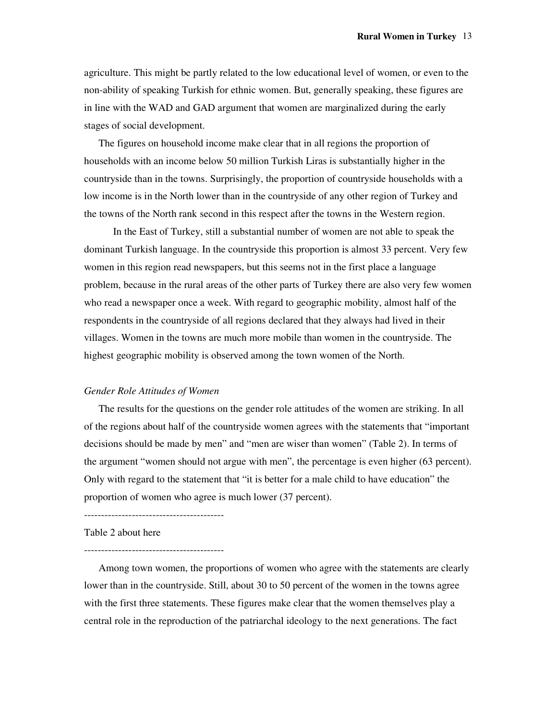agriculture. This might be partly related to the low educational level of women, or even to the non-ability of speaking Turkish for ethnic women. But, generally speaking, these figures are in line with the WAD and GAD argument that women are marginalized during the early stages of social development.

 The figures on household income make clear that in all regions the proportion of households with an income below 50 million Turkish Liras is substantially higher in the countryside than in the towns. Surprisingly, the proportion of countryside households with a low income is in the North lower than in the countryside of any other region of Turkey and the towns of the North rank second in this respect after the towns in the Western region.

 In the East of Turkey, still a substantial number of women are not able to speak the dominant Turkish language. In the countryside this proportion is almost 33 percent. Very few women in this region read newspapers, but this seems not in the first place a language problem, because in the rural areas of the other parts of Turkey there are also very few women who read a newspaper once a week. With regard to geographic mobility, almost half of the respondents in the countryside of all regions declared that they always had lived in their villages. Women in the towns are much more mobile than women in the countryside. The highest geographic mobility is observed among the town women of the North.

## *Gender Role Attitudes of Women*

The results for the questions on the gender role attitudes of the women are striking. In all of the regions about half of the countryside women agrees with the statements that "important decisions should be made by men" and "men are wiser than women" (Table 2). In terms of the argument "women should not argue with men", the percentage is even higher (63 percent). Only with regard to the statement that "it is better for a male child to have education" the proportion of women who agree is much lower (37 percent).

Table 2 about here

-----------------------------------------

-----------------------------------------

Among town women, the proportions of women who agree with the statements are clearly lower than in the countryside. Still, about 30 to 50 percent of the women in the towns agree with the first three statements. These figures make clear that the women themselves play a central role in the reproduction of the patriarchal ideology to the next generations. The fact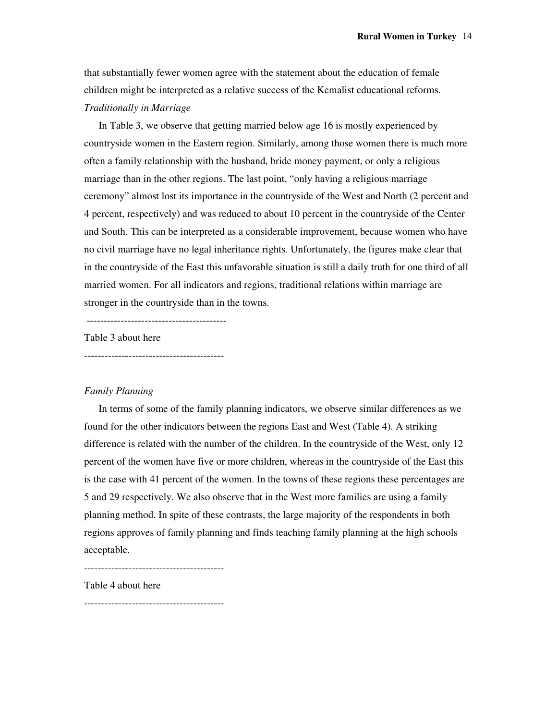that substantially fewer women agree with the statement about the education of female children might be interpreted as a relative success of the Kemalist educational reforms. *Traditionally in Marriage* 

In Table 3, we observe that getting married below age 16 is mostly experienced by countryside women in the Eastern region. Similarly, among those women there is much more often a family relationship with the husband, bride money payment, or only a religious marriage than in the other regions. The last point, "only having a religious marriage ceremony" almost lost its importance in the countryside of the West and North (2 percent and 4 percent, respectively) and was reduced to about 10 percent in the countryside of the Center and South. This can be interpreted as a considerable improvement, because women who have no civil marriage have no legal inheritance rights. Unfortunately, the figures make clear that in the countryside of the East this unfavorable situation is still a daily truth for one third of all married women. For all indicators and regions, traditional relations within marriage are stronger in the countryside than in the towns.

-----------------------------------------

Table 3 about here

-----------------------------------------

# *Family Planning*

In terms of some of the family planning indicators, we observe similar differences as we found for the other indicators between the regions East and West (Table 4). A striking difference is related with the number of the children. In the countryside of the West, only 12 percent of the women have five or more children, whereas in the countryside of the East this is the case with 41 percent of the women. In the towns of these regions these percentages are 5 and 29 respectively. We also observe that in the West more families are using a family planning method. In spite of these contrasts, the large majority of the respondents in both regions approves of family planning and finds teaching family planning at the high schools acceptable.

-----------------------------------------

Table 4 about here

-----------------------------------------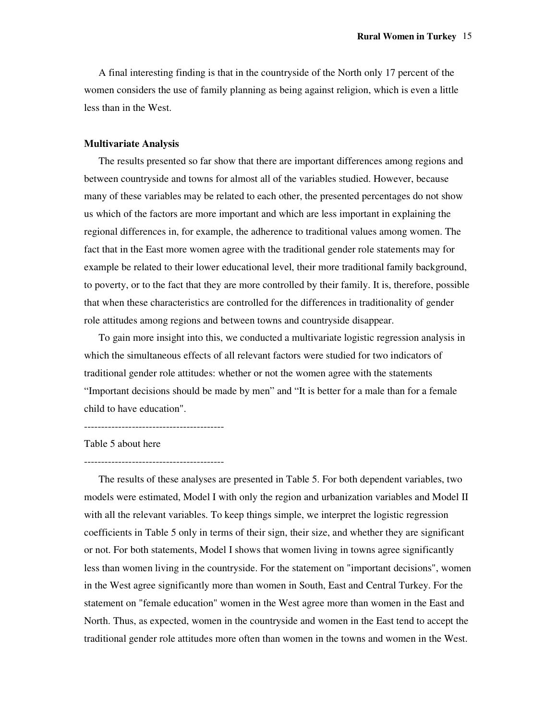A final interesting finding is that in the countryside of the North only 17 percent of the women considers the use of family planning as being against religion, which is even a little less than in the West.

#### **Multivariate Analysis**

The results presented so far show that there are important differences among regions and between countryside and towns for almost all of the variables studied. However, because many of these variables may be related to each other, the presented percentages do not show us which of the factors are more important and which are less important in explaining the regional differences in, for example, the adherence to traditional values among women. The fact that in the East more women agree with the traditional gender role statements may for example be related to their lower educational level, their more traditional family background, to poverty, or to the fact that they are more controlled by their family. It is, therefore, possible that when these characteristics are controlled for the differences in traditionality of gender role attitudes among regions and between towns and countryside disappear.

 To gain more insight into this, we conducted a multivariate logistic regression analysis in which the simultaneous effects of all relevant factors were studied for two indicators of traditional gender role attitudes: whether or not the women agree with the statements "Important decisions should be made by men" and "It is better for a male than for a female child to have education".

Table 5 about here

-----------------------------------------

 The results of these analyses are presented in Table 5. For both dependent variables, two models were estimated, Model I with only the region and urbanization variables and Model II with all the relevant variables. To keep things simple, we interpret the logistic regression coefficients in Table 5 only in terms of their sign, their size, and whether they are significant or not. For both statements, Model I shows that women living in towns agree significantly less than women living in the countryside. For the statement on "important decisions", women in the West agree significantly more than women in South, East and Central Turkey. For the statement on "female education" women in the West agree more than women in the East and North. Thus, as expected, women in the countryside and women in the East tend to accept the traditional gender role attitudes more often than women in the towns and women in the West.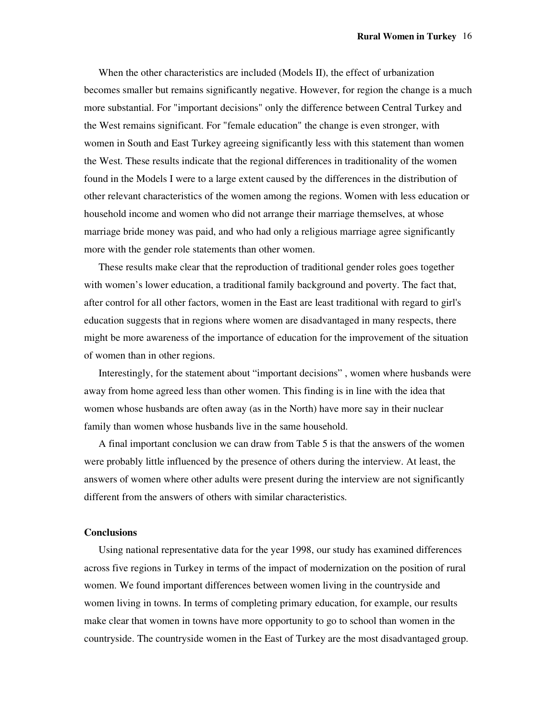When the other characteristics are included (Models II), the effect of urbanization becomes smaller but remains significantly negative. However, for region the change is a much more substantial. For "important decisions" only the difference between Central Turkey and the West remains significant. For "female education" the change is even stronger, with women in South and East Turkey agreeing significantly less with this statement than women the West. These results indicate that the regional differences in traditionality of the women found in the Models I were to a large extent caused by the differences in the distribution of other relevant characteristics of the women among the regions. Women with less education or household income and women who did not arrange their marriage themselves, at whose marriage bride money was paid, and who had only a religious marriage agree significantly more with the gender role statements than other women.

These results make clear that the reproduction of traditional gender roles goes together with women's lower education, a traditional family background and poverty. The fact that, after control for all other factors, women in the East are least traditional with regard to girl's education suggests that in regions where women are disadvantaged in many respects, there might be more awareness of the importance of education for the improvement of the situation of women than in other regions.

 Interestingly, for the statement about "important decisions" , women where husbands were away from home agreed less than other women. This finding is in line with the idea that women whose husbands are often away (as in the North) have more say in their nuclear family than women whose husbands live in the same household.

 A final important conclusion we can draw from Table 5 is that the answers of the women were probably little influenced by the presence of others during the interview. At least, the answers of women where other adults were present during the interview are not significantly different from the answers of others with similar characteristics.

#### **Conclusions**

Using national representative data for the year 1998, our study has examined differences across five regions in Turkey in terms of the impact of modernization on the position of rural women. We found important differences between women living in the countryside and women living in towns. In terms of completing primary education, for example, our results make clear that women in towns have more opportunity to go to school than women in the countryside. The countryside women in the East of Turkey are the most disadvantaged group.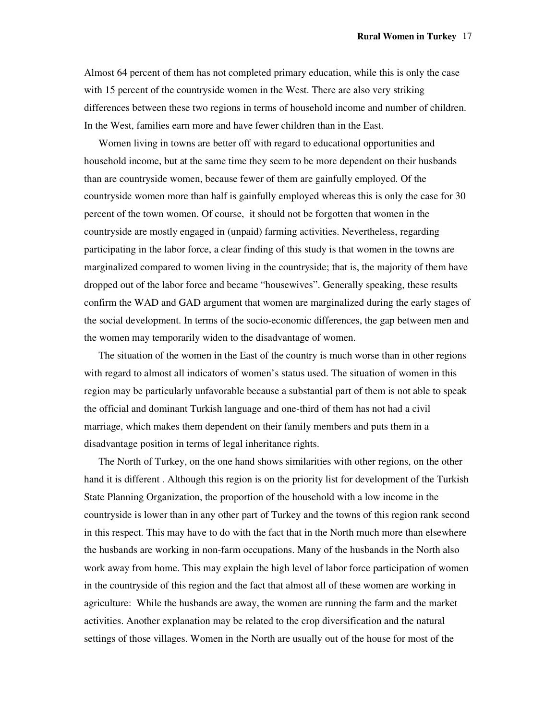Almost 64 percent of them has not completed primary education, while this is only the case with 15 percent of the countryside women in the West. There are also very striking differences between these two regions in terms of household income and number of children. In the West, families earn more and have fewer children than in the East.

Women living in towns are better off with regard to educational opportunities and household income, but at the same time they seem to be more dependent on their husbands than are countryside women, because fewer of them are gainfully employed. Of the countryside women more than half is gainfully employed whereas this is only the case for 30 percent of the town women. Of course, it should not be forgotten that women in the countryside are mostly engaged in (unpaid) farming activities. Nevertheless, regarding participating in the labor force, a clear finding of this study is that women in the towns are marginalized compared to women living in the countryside; that is, the majority of them have dropped out of the labor force and became "housewives". Generally speaking, these results confirm the WAD and GAD argument that women are marginalized during the early stages of the social development. In terms of the socio-economic differences, the gap between men and the women may temporarily widen to the disadvantage of women.

The situation of the women in the East of the country is much worse than in other regions with regard to almost all indicators of women's status used. The situation of women in this region may be particularly unfavorable because a substantial part of them is not able to speak the official and dominant Turkish language and one-third of them has not had a civil marriage, which makes them dependent on their family members and puts them in a disadvantage position in terms of legal inheritance rights.

The North of Turkey, on the one hand shows similarities with other regions, on the other hand it is different . Although this region is on the priority list for development of the Turkish State Planning Organization, the proportion of the household with a low income in the countryside is lower than in any other part of Turkey and the towns of this region rank second in this respect. This may have to do with the fact that in the North much more than elsewhere the husbands are working in non-farm occupations. Many of the husbands in the North also work away from home. This may explain the high level of labor force participation of women in the countryside of this region and the fact that almost all of these women are working in agriculture: While the husbands are away, the women are running the farm and the market activities. Another explanation may be related to the crop diversification and the natural settings of those villages. Women in the North are usually out of the house for most of the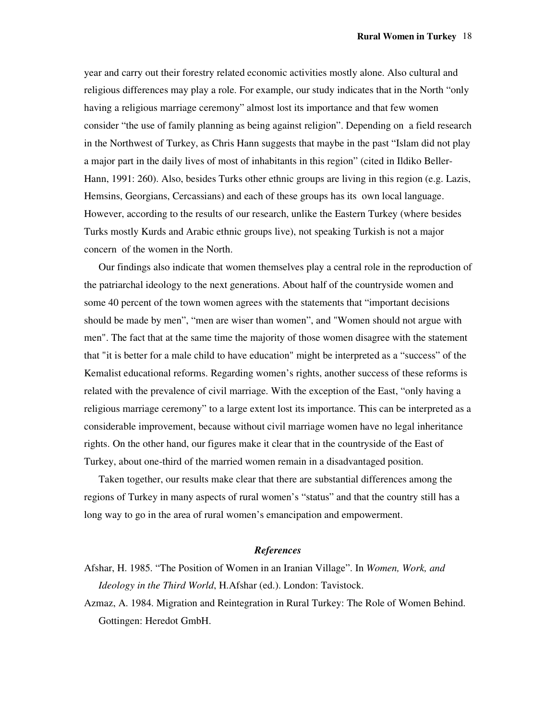year and carry out their forestry related economic activities mostly alone. Also cultural and religious differences may play a role. For example, our study indicates that in the North "only having a religious marriage ceremony" almost lost its importance and that few women consider "the use of family planning as being against religion". Depending on a field research in the Northwest of Turkey, as Chris Hann suggests that maybe in the past "Islam did not play a major part in the daily lives of most of inhabitants in this region" (cited in Ildiko Beller-Hann, 1991: 260). Also, besides Turks other ethnic groups are living in this region (e.g. Lazis, Hemsins, Georgians, Cercassians) and each of these groups has its own local language. However, according to the results of our research, unlike the Eastern Turkey (where besides Turks mostly Kurds and Arabic ethnic groups live), not speaking Turkish is not a major concern of the women in the North.

Our findings also indicate that women themselves play a central role in the reproduction of the patriarchal ideology to the next generations. About half of the countryside women and some 40 percent of the town women agrees with the statements that "important decisions should be made by men", "men are wiser than women", and "Women should not argue with men". The fact that at the same time the majority of those women disagree with the statement that "it is better for a male child to have education" might be interpreted as a "success" of the Kemalist educational reforms. Regarding women's rights, another success of these reforms is related with the prevalence of civil marriage. With the exception of the East, "only having a religious marriage ceremony" to a large extent lost its importance. This can be interpreted as a considerable improvement, because without civil marriage women have no legal inheritance rights. On the other hand, our figures make it clear that in the countryside of the East of Turkey, about one-third of the married women remain in a disadvantaged position.

Taken together, our results make clear that there are substantial differences among the regions of Turkey in many aspects of rural women's "status" and that the country still has a long way to go in the area of rural women's emancipation and empowerment.

# *References*

- Afshar, H. 1985. "The Position of Women in an Iranian Village". In *Women, Work, and Ideology in the Third World*, H.Afshar (ed.). London: Tavistock.
- Azmaz, A. 1984. Migration and Reintegration in Rural Turkey: The Role of Women Behind. Gottingen: Heredot GmbH.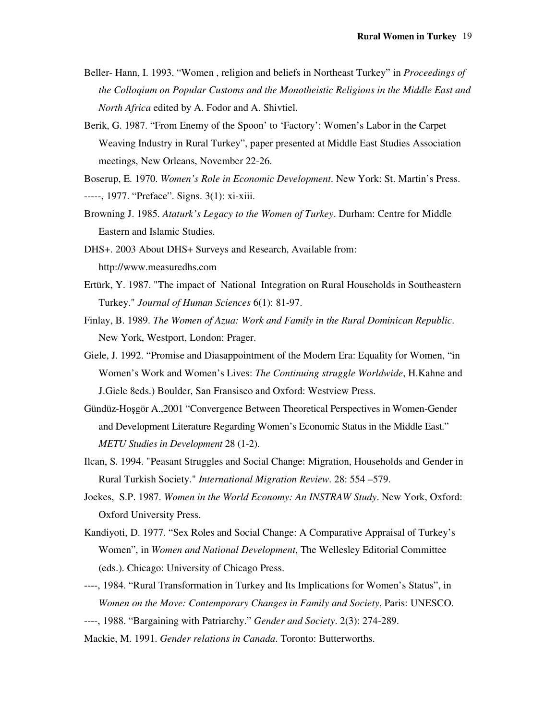- Beller- Hann, I. 1993. "Women , religion and beliefs in Northeast Turkey" in *Proceedings of the Colloqium on Popular Customs and the Monotheistic Religions in the Middle East and North Africa* edited by A. Fodor and A. Shivtiel.
- Berik, G. 1987. "From Enemy of the Spoon' to 'Factory': Women's Labor in the Carpet Weaving Industry in Rural Turkey", paper presented at Middle East Studies Association meetings, New Orleans, November 22-26.
- Boserup, E. 1970. *Women's Role in Economic Development*. New York: St. Martin's Press.

-----, 1977. "Preface". Signs. 3(1): xi-xiii.

- Browning J. 1985. *Ataturk's Legacy to the Women of Turkey*. Durham: Centre for Middle Eastern and Islamic Studies.
- DHS+. 2003 About DHS+ Surveys and Research, Available from: http://www.measuredhs.com
- Ertürk, Y. 1987. "The impact of National Integration on Rural Households in Southeastern Turkey." *Journal of Human Sciences* 6(1): 81-97.
- Finlay, B. 1989. *The Women of Azua: Work and Family in the Rural Dominican Republic*. New York, Westport, London: Prager.
- Giele, J. 1992. "Promise and Diasappointment of the Modern Era: Equality for Women, "in Women's Work and Women's Lives: *The Continuing struggle Worldwide*, H.Kahne and J.Giele 8eds.) Boulder, San Fransisco and Oxford: Westview Press.
- Gündüz-Hoşgör A.,2001 "Convergence Between Theoretical Perspectives in Women-Gender and Development Literature Regarding Women's Economic Status in the Middle East." *METU Studies in Development* 28 (1-2).
- Ilcan, S. 1994. "Peasant Struggles and Social Change: Migration, Households and Gender in Rural Turkish Society." *International Migration Review*. 28: 554 –579.
- Joekes, S.P. 1987. *Women in the World Economy: An INSTRAW Study*. New York, Oxford: Oxford University Press.
- Kandiyoti, D. 1977. "Sex Roles and Social Change: A Comparative Appraisal of Turkey's Women", in *Women and National Development*, The Wellesley Editorial Committee (eds.). Chicago: University of Chicago Press.
- ----, 1984. "Rural Transformation in Turkey and Its Implications for Women's Status", in *Women on the Move: Contemporary Changes in Family and Society*, Paris: UNESCO.
- ----, 1988. "Bargaining with Patriarchy." *Gender and Society*. 2(3): 274-289.

Mackie, M. 1991. *Gender relations in Canada*. Toronto: Butterworths.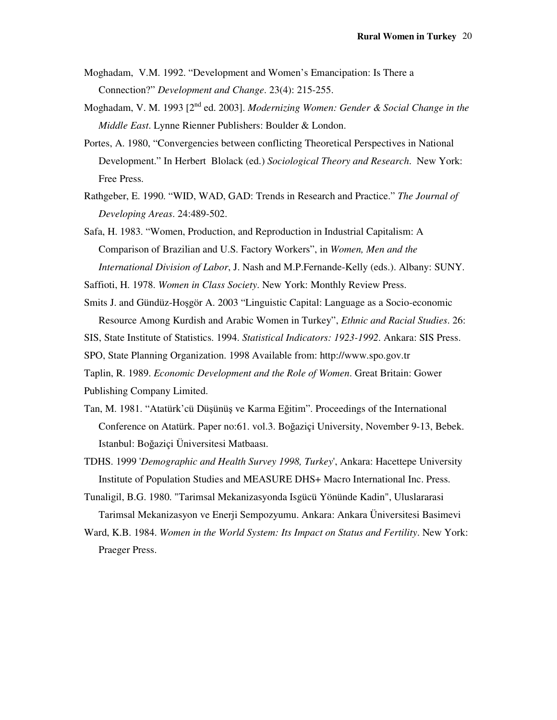- Moghadam, V.M. 1992. "Development and Women's Emancipation: Is There a Connection?" *Development and Change*. 23(4): 215-255.
- Moghadam, V. M. 1993 [2nd ed. 2003]. *Modernizing Women: Gender & Social Change in the Middle East*. Lynne Rienner Publishers: Boulder & London.
- Portes, A. 1980, "Convergencies between conflicting Theoretical Perspectives in National Development." In Herbert Blolack (ed.) *Sociological Theory and Research*. New York: Free Press.
- Rathgeber, E. 1990. "WID, WAD, GAD: Trends in Research and Practice." *The Journal of Developing Areas*. 24:489-502.

Safa, H. 1983. "Women, Production, and Reproduction in Industrial Capitalism: A Comparison of Brazilian and U.S. Factory Workers", in *Women, Men and the International Division of Labor*, J. Nash and M.P.Fernande-Kelly (eds.). Albany: SUNY.

Saffioti, H. 1978. *Women in Class Society*. New York: Monthly Review Press.

Smits J. and Gündüz-Hoşgör A. 2003 "Linguistic Capital: Language as a Socio-economic

Resource Among Kurdish and Arabic Women in Turkey", *Ethnic and Racial Studies*. 26:

SIS, State Institute of Statistics. 1994. *Statistical Indicators: 1923-1992*. Ankara: SIS Press.

SPO, State Planning Organization. 1998 Available from: http://www.spo.gov.tr

Taplin, R. 1989. *Economic Development and the Role of Women*. Great Britain: Gower Publishing Company Limited.

- Tan, M. 1981. "Atatürk'cü Düşünüş ve Karma Eğitim". Proceedings of the International Conference on Atatürk. Paper no:61. vol.3. Boğaziçi University, November 9-13, Bebek. Istanbul: Boğaziçi Üniversitesi Matbaası.
- TDHS. 1999 '*Demographic and Health Survey 1998, Turkey*', Ankara: Hacettepe University Institute of Population Studies and MEASURE DHS+ Macro International Inc. Press.
- Tunaligil, B.G. 1980. "Tarimsal Mekanizasyonda Isgücü Yönünde Kadin", Uluslararasi Tarimsal Mekanizasyon ve Enerji Sempozyumu. Ankara: Ankara Üniversitesi Basimevi
- Ward, K.B. 1984. *Women in the World System: Its Impact on Status and Fertility*. New York: Praeger Press.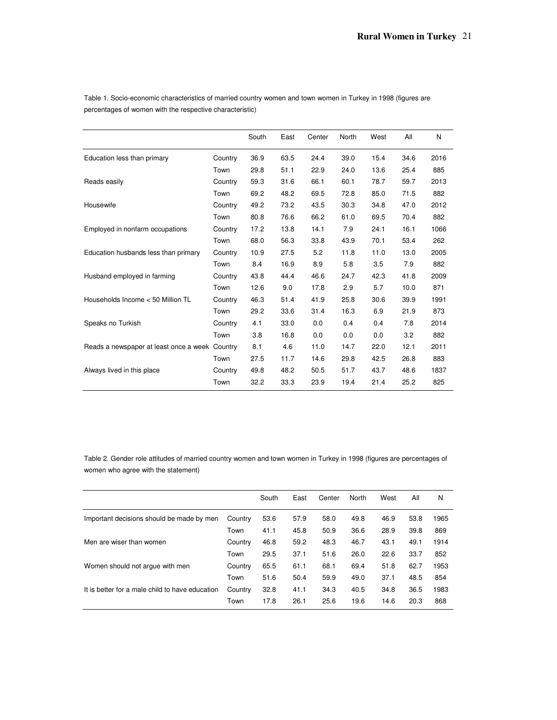|                                                |         | South | East | Center | North | West | All  | N    |
|------------------------------------------------|---------|-------|------|--------|-------|------|------|------|
| Education less than primary                    | Country | 36.9  | 63.5 | 24.4   | 39.0  | 15.4 | 34.6 | 2016 |
|                                                | Town    | 29.8  | 51.1 | 22.9   | 24.0  | 13.6 | 25.4 | 885  |
| Reads easily                                   | Country | 59.3  | 31.6 | 66.1   | 60.1  | 78.7 | 59.7 | 2013 |
|                                                | Town    | 69.2  | 48.2 | 69.5   | 72.8  | 85.0 | 71.5 | 882  |
| Housewife                                      | Country | 49.2  | 73.2 | 43.5   | 30.3  | 34.8 | 47.0 | 2012 |
|                                                | Town    | 80.8  | 76.6 | 66.2   | 61.0  | 69.5 | 70.4 | 882  |
| Employed in nonfarm occupations                | Country | 17.2  | 13.8 | 14.1   | 7.9   | 24.1 | 16.1 | 1066 |
|                                                | Town    | 68.0  | 56.3 | 33.8   | 43.9  | 70.1 | 53.4 | 262  |
| Education husbands less than primary           | Country | 10.9  | 27.5 | 5.2    | 11.8  | 11.0 | 13.0 | 2005 |
|                                                | Town    | 8.4   | 16.9 | 8.9    | 5.8   | 3.5  | 7.9  | 882  |
| Husband employed in farming                    | Country | 43.8  | 44.4 | 46.6   | 24.7  | 42.3 | 41.8 | 2009 |
|                                                | Town    | 12.6  | 9.0  | 17.8   | 2.9   | 5.7  | 10.0 | 871  |
| Households Income < 50 Million TL              | Country | 46.3  | 51.4 | 41.9   | 25.8  | 30.6 | 39.9 | 1991 |
|                                                | Town    | 29.2  | 33.6 | 31.4   | 16.3  | 6.9  | 21.9 | 873  |
| Speaks no Turkish                              | Country | 4.1   | 33.0 | 0.0    | 0.4   | 0.4  | 7.8  | 2014 |
|                                                | Town    | 3.8   | 16.8 | 0.0    | 0.0   | 0.0  | 3.2  | 882  |
| Reads a newspaper at least once a week Country |         | 8.1   | 4.6  | 11.0   | 14.7  | 22.0 | 12.1 | 2011 |
|                                                | Town    | 27.5  | 11.7 | 14.6   | 29.8  | 42.5 | 26.8 | 883  |
| Always lived in this place                     | Country | 49.8  | 48.2 | 50.5   | 51.7  | 43.7 | 48.6 | 1837 |
|                                                | Town    | 32.2  | 33.3 | 23.9   | 19.4  | 21.4 | 25.2 | 825  |

Table 1. Socio-economic characteristics of married country women and town women in Turkey in 1998 (figures are percentages of women with the respective characteristic)

Table 2. Gender role attitudes of married country women and town women in Turkey in 1998 (figures are percentages of women who agree with the statement)

|                                                 |         | South | East | Center | North | West | All  | N    |
|-------------------------------------------------|---------|-------|------|--------|-------|------|------|------|
| Important decisions should be made by men       | Country | 53.6  | 57.9 | 58.0   | 49.8  | 46.9 | 53.8 | 1965 |
|                                                 | Town    | 41.1  | 45.8 | 50.9   | 36.6  | 28.9 | 39.8 | 869  |
| Men are wiser than women                        | Country | 46.8  | 59.2 | 48.3   | 46.7  | 43.1 | 49.1 | 1914 |
|                                                 | Town    | 29.5  | 37.1 | 51.6   | 26.0  | 22.6 | 33.7 | 852  |
| Women should not arque with men                 | Country | 65.5  | 61.1 | 68.1   | 69.4  | 51.8 | 62.7 | 1953 |
|                                                 | Town    | 51.6  | 50.4 | 59.9   | 49.0  | 37.1 | 48.5 | 854  |
| It is better for a male child to have education | Country | 32.8  | 41.1 | 34.3   | 40.5  | 34.8 | 36.5 | 1983 |
|                                                 | Town    | 17.8  | 26.1 | 25.6   | 19.6  | 14.6 | 20.3 | 868  |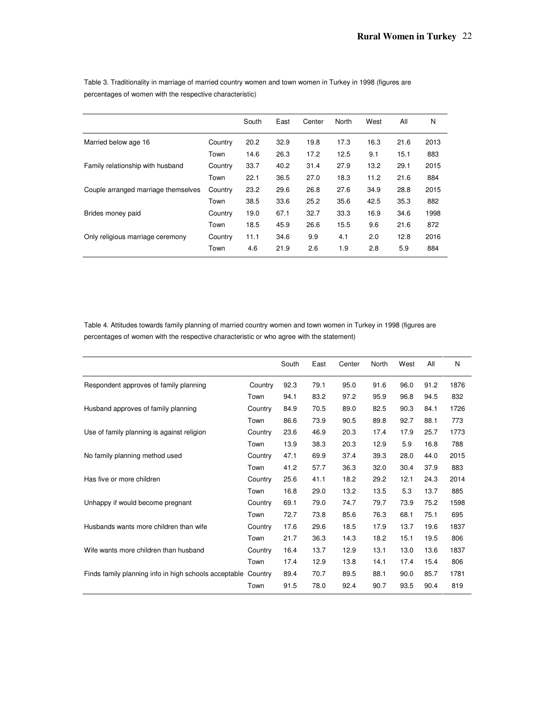|                                     |         | South | East | Center | North | West | All  | N    |
|-------------------------------------|---------|-------|------|--------|-------|------|------|------|
| Married below age 16                | Country | 20.2  | 32.9 | 19.8   | 17.3  | 16.3 | 21.6 | 2013 |
|                                     | Town    | 14.6  | 26.3 | 17.2   | 12.5  | 9.1  | 15.1 | 883  |
| Family relationship with husband    | Country | 33.7  | 40.2 | 31.4   | 27.9  | 13.2 | 29.1 | 2015 |
|                                     | Town    | 22.1  | 36.5 | 27.0   | 18.3  | 11.2 | 21.6 | 884  |
| Couple arranged marriage themselves | Country | 23.2  | 29.6 | 26.8   | 27.6  | 34.9 | 28.8 | 2015 |
|                                     | Town    | 38.5  | 33.6 | 25.2   | 35.6  | 42.5 | 35.3 | 882  |
| Brides money paid                   | Country | 19.0  | 67.1 | 32.7   | 33.3  | 16.9 | 34.6 | 1998 |
|                                     | Town    | 18.5  | 45.9 | 26.6   | 15.5  | 9.6  | 21.6 | 872  |
| Only religious marriage ceremony    | Country | 11.1  | 34.6 | 9.9    | 4.1   | 2.0  | 12.8 | 2016 |
|                                     | Town    | 4.6   | 21.9 | 2.6    | 1.9   | 2.8  | 5.9  | 884  |

Table 3. Traditionality in marriage of married country women and town women in Turkey in 1998 (figures are percentages of women with the respective characteristic)

Table 4. Attitudes towards family planning of married country women and town women in Turkey in 1998 (figures are percentages of women with the respective characteristic or who agree with the statement)

|                                                               |         | South | East | Center | North | West | All  | N    |
|---------------------------------------------------------------|---------|-------|------|--------|-------|------|------|------|
| Respondent approves of family planning                        | Country | 92.3  | 79.1 | 95.0   | 91.6  | 96.0 | 91.2 | 1876 |
|                                                               | Town    | 94.1  | 83.2 | 97.2   | 95.9  | 96.8 | 94.5 | 832  |
| Husband approves of family planning                           | Country | 84.9  | 70.5 | 89.0   | 82.5  | 90.3 | 84.1 | 1726 |
|                                                               | Town    | 86.6  | 73.9 | 90.5   | 89.8  | 92.7 | 88.1 | 773  |
| Use of family planning is against religion                    | Country | 23.6  | 46.9 | 20.3   | 17.4  | 17.9 | 25.7 | 1773 |
|                                                               | Town    | 13.9  | 38.3 | 20.3   | 12.9  | 5.9  | 16.8 | 788  |
| No family planning method used                                | Country | 47.1  | 69.9 | 37.4   | 39.3  | 28.0 | 44.0 | 2015 |
|                                                               | Town    | 41.2  | 57.7 | 36.3   | 32.0  | 30.4 | 37.9 | 883  |
| Has five or more children                                     | Country | 25.6  | 41.1 | 18.2   | 29.2  | 12.1 | 24.3 | 2014 |
|                                                               | Town    | 16.8  | 29.0 | 13.2   | 13.5  | 5.3  | 13.7 | 885  |
| Unhappy if would become pregnant                              | Country | 69.1  | 79.0 | 74.7   | 79.7  | 73.9 | 75.2 | 1598 |
|                                                               | Town    | 72.7  | 73.8 | 85.6   | 76.3  | 68.1 | 75.1 | 695  |
| Husbands wants more children than wife                        | Country | 17.6  | 29.6 | 18.5   | 17.9  | 13.7 | 19.6 | 1837 |
|                                                               | Town    | 21.7  | 36.3 | 14.3   | 18.2  | 15.1 | 19.5 | 806  |
| Wife wants more children than husband                         | Country | 16.4  | 13.7 | 12.9   | 13.1  | 13.0 | 13.6 | 1837 |
|                                                               | Town    | 17.4  | 12.9 | 13.8   | 14.1  | 17.4 | 15.4 | 806  |
| Finds family planning info in high schools acceptable Country |         | 89.4  | 70.7 | 89.5   | 88.1  | 90.0 | 85.7 | 1781 |
|                                                               | Town    | 91.5  | 78.0 | 92.4   | 90.7  | 93.5 | 90.4 | 819  |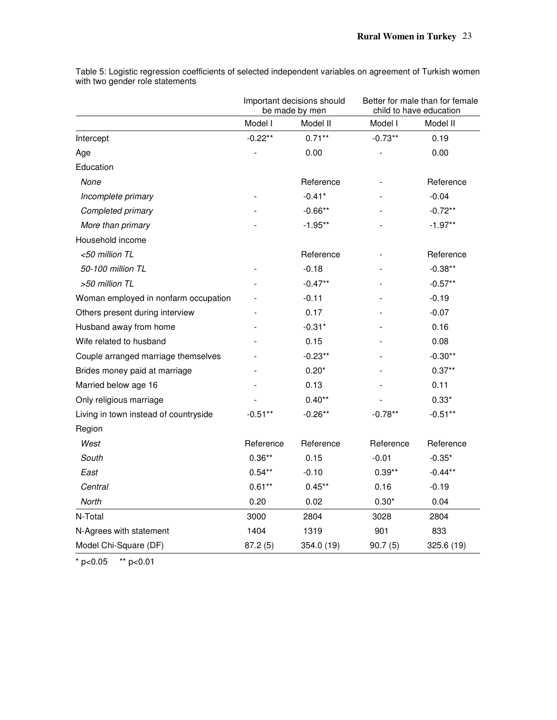|                                       | Important decisions should<br>be made by men |            | child to have education | Better for male than for female |  |
|---------------------------------------|----------------------------------------------|------------|-------------------------|---------------------------------|--|
|                                       | Model I                                      | Model II   | Model I                 | Model II                        |  |
| Intercept                             | $-0.22**$                                    | $0.71***$  | $-0.73**$               | 0.19                            |  |
| Age                                   |                                              | 0.00       |                         | 0.00                            |  |
| Education                             |                                              |            |                         |                                 |  |
| None                                  |                                              | Reference  |                         | Reference                       |  |
| Incomplete primary                    |                                              | $-0.41*$   |                         | $-0.04$                         |  |
| Completed primary                     |                                              | $-0.66**$  |                         | $-0.72**$                       |  |
| More than primary                     |                                              | $-1.95**$  |                         | $-1.97**$                       |  |
| Household income                      |                                              |            |                         |                                 |  |
| <50 million TL                        |                                              | Reference  |                         | Reference                       |  |
| 50-100 million TL                     |                                              | $-0.18$    |                         | $-0.38**$                       |  |
| >50 million TL                        |                                              | $-0.47**$  |                         | $-0.57**$                       |  |
| Woman employed in nonfarm occupation  |                                              | $-0.11$    |                         | $-0.19$                         |  |
| Others present during interview       |                                              | 0.17       |                         | $-0.07$                         |  |
| Husband away from home                |                                              | $-0.31*$   |                         | 0.16                            |  |
| Wife related to husband               |                                              | 0.15       |                         | 0.08                            |  |
| Couple arranged marriage themselves   |                                              | $-0.23**$  |                         | $-0.30**$                       |  |
| Brides money paid at marriage         |                                              | $0.20*$    |                         | $0.37**$                        |  |
| Married below age 16                  |                                              | 0.13       |                         | 0.11                            |  |
| Only religious marriage               |                                              | $0.40**$   |                         | $0.33*$                         |  |
| Living in town instead of countryside | $-0.51**$                                    | $-0.26**$  | $-0.78**$               | $-0.51**$                       |  |
| Region                                |                                              |            |                         |                                 |  |
| West                                  | Reference                                    | Reference  | Reference               | Reference                       |  |
| South                                 | $0.36**$                                     | 0.15       | $-0.01$                 | $-0.35*$                        |  |
| East                                  | $0.54***$                                    | $-0.10$    | $0.39**$                | $-0.44**$                       |  |
| Central                               | $0.61**$                                     | $0.45**$   | 0.16                    | $-0.19$                         |  |
| <b>North</b>                          | 0.20                                         | 0.02       | $0.30*$                 | 0.04                            |  |
| N-Total                               | 3000                                         | 2804       | 3028                    | 2804                            |  |
| N-Agrees with statement               | 1404                                         | 1319       | 901                     | 833                             |  |
| Model Chi-Square (DF)                 | 87.2(5)                                      | 354.0 (19) | 90.7(5)                 | 325.6 (19)                      |  |

Table 5: Logistic regression coefficients of selected independent variables on agreement of Turkish women with two gender role statements

 $*$  p<0.05  $*$  p<0.01